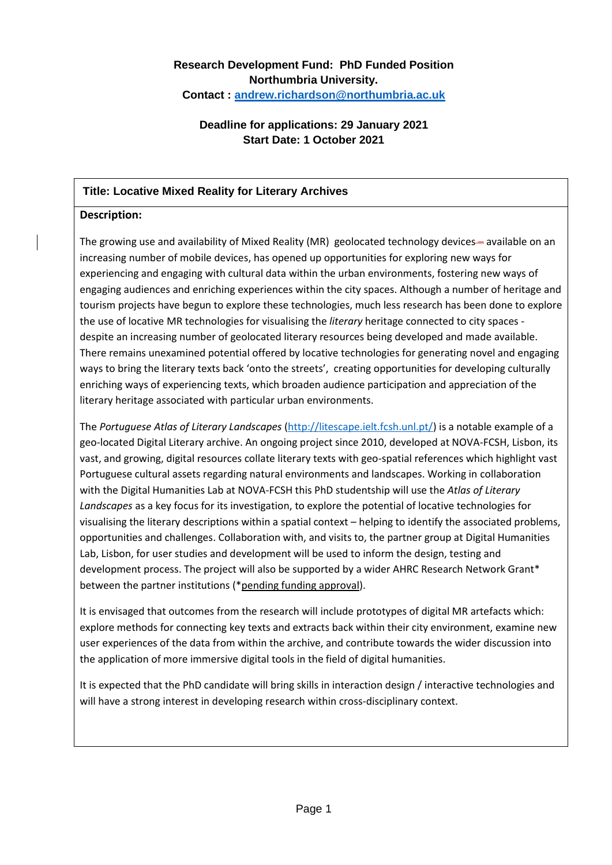# **Research Development Fund: PhD Funded Position Northumbria University. Contact : [andrew.richardson@northumbria.ac.uk](mailto:andrew.richardson@northumbria.ac.uk)**

# **Deadline for applications: 29 January 2021 Start Date: 1 October 2021**

### **Title: Locative Mixed Reality for Literary Archives**

#### **Description:**

The growing use and availability of Mixed Reality (MR) geolocated technology devices— available on an increasing number of mobile devices, has opened up opportunities for exploring new ways for experiencing and engaging with cultural data within the urban environments, fostering new ways of engaging audiences and enriching experiences within the city spaces. Although a number of heritage and tourism projects have begun to explore these technologies, much less research has been done to explore the use of locative MR technologies for visualising the *literary* heritage connected to city spaces despite an increasing number of geolocated literary resources being developed and made available. There remains unexamined potential offered by locative technologies for generating novel and engaging ways to bring the literary texts back 'onto the streets', creating opportunities for developing culturally enriching ways of experiencing texts, which broaden audience participation and appreciation of the literary heritage associated with particular urban environments.

The *Portuguese Atlas of Literary Landscapes* [\(http://litescape.ielt.fcsh.unl.pt/\)](http://litescape.ielt.fcsh.unl.pt/) is a notable example of a geo-located Digital Literary archive. An ongoing project since 2010, developed at NOVA-FCSH, Lisbon, its vast, and growing, digital resources collate literary texts with geo-spatial references which highlight vast Portuguese cultural assets regarding natural environments and landscapes. Working in collaboration with the Digital Humanities Lab at NOVA-FCSH this PhD studentship will use the *Atlas of Literary Landscapes* as a key focus for its investigation, to explore the potential of locative technologies for visualising the literary descriptions within a spatial context – helping to identify the associated problems, opportunities and challenges. Collaboration with, and visits to, the partner group at Digital Humanities Lab, Lisbon, for user studies and development will be used to inform the design, testing and development process. The project will also be supported by a wider AHRC Research Network Grant\* between the partner institutions (\*pending funding approval).

It is envisaged that outcomes from the research will include prototypes of digital MR artefacts which: explore methods for connecting key texts and extracts back within their city environment, examine new user experiences of the data from within the archive, and contribute towards the wider discussion into the application of more immersive digital tools in the field of digital humanities.

It is expected that the PhD candidate will bring skills in interaction design / interactive technologies and will have a strong interest in developing research within cross-disciplinary context.